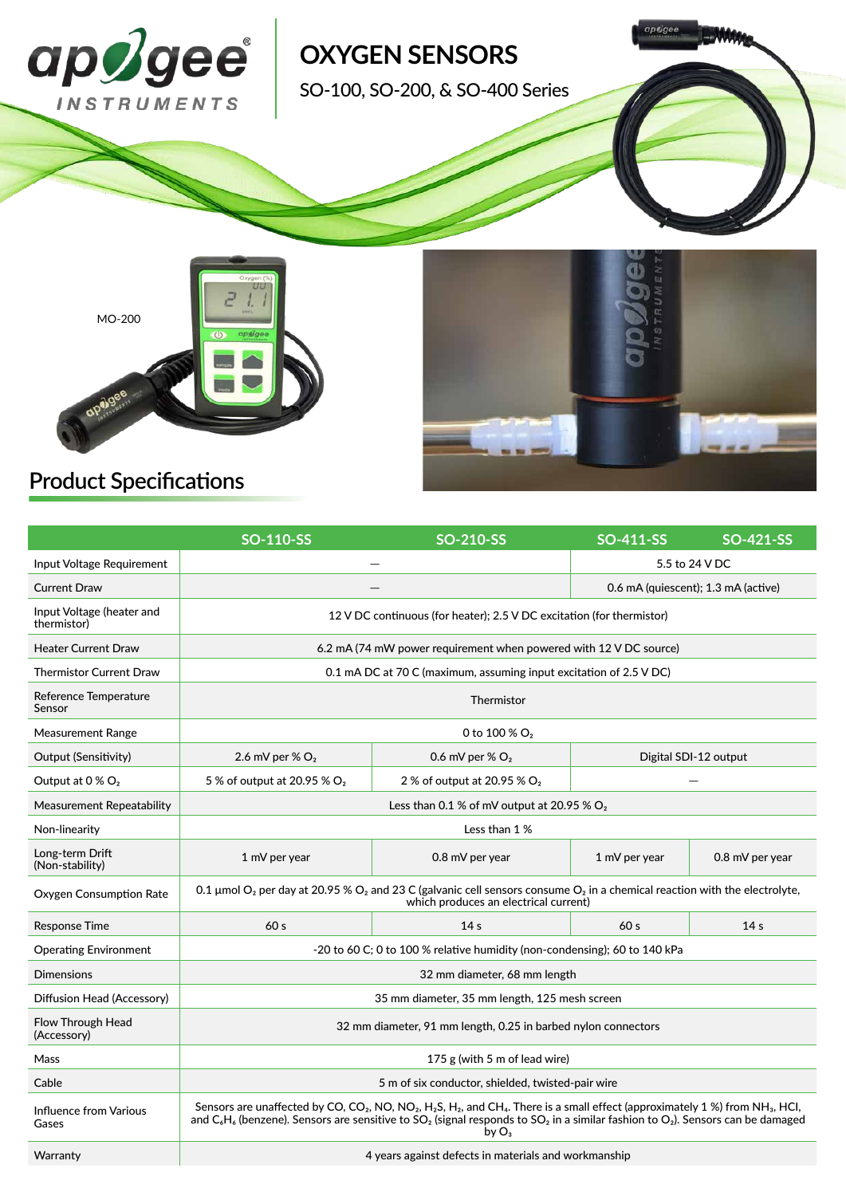

# **Product Specifications**

|                                          | <b>SO-110-SS</b>                                                                                                                                                                                                                                                                                                                                                                                                          | <b>SO-210-SS</b>                        | SO-411-SS                           | SO-421-SS       |
|------------------------------------------|---------------------------------------------------------------------------------------------------------------------------------------------------------------------------------------------------------------------------------------------------------------------------------------------------------------------------------------------------------------------------------------------------------------------------|-----------------------------------------|-------------------------------------|-----------------|
| Input Voltage Requirement                |                                                                                                                                                                                                                                                                                                                                                                                                                           |                                         | 5.5 to 24 V DC                      |                 |
| <b>Current Draw</b>                      |                                                                                                                                                                                                                                                                                                                                                                                                                           |                                         | 0.6 mA (quiescent); 1.3 mA (active) |                 |
| Input Voltage (heater and<br>thermistor) | 12 V DC continuous (for heater); 2.5 V DC excitation (for thermistor)                                                                                                                                                                                                                                                                                                                                                     |                                         |                                     |                 |
| <b>Heater Current Draw</b>               | 6.2 mA (74 mW power requirement when powered with 12 V DC source)                                                                                                                                                                                                                                                                                                                                                         |                                         |                                     |                 |
| <b>Thermistor Current Draw</b>           | 0.1 mA DC at 70 C (maximum, assuming input excitation of 2.5 V DC)                                                                                                                                                                                                                                                                                                                                                        |                                         |                                     |                 |
| Reference Temperature<br>Sensor          | Thermistor                                                                                                                                                                                                                                                                                                                                                                                                                |                                         |                                     |                 |
| Measurement Range                        | 0 to 100 % $O2$                                                                                                                                                                                                                                                                                                                                                                                                           |                                         |                                     |                 |
| Output (Sensitivity)                     | 2.6 mV per % $O2$                                                                                                                                                                                                                                                                                                                                                                                                         | 0.6 mV per % $O2$                       | Digital SDI-12 output               |                 |
| Output at 0 % O <sub>2</sub>             | 5 % of output at 20.95 % O <sub>2</sub>                                                                                                                                                                                                                                                                                                                                                                                   | 2 % of output at 20.95 % O <sub>2</sub> |                                     |                 |
| Measurement Repeatability                | Less than 0.1 % of mV output at 20.95 % $O2$                                                                                                                                                                                                                                                                                                                                                                              |                                         |                                     |                 |
| Non-linearity                            | Less than 1 %                                                                                                                                                                                                                                                                                                                                                                                                             |                                         |                                     |                 |
| Long-term Drift<br>(Non-stability)       | 1 mV per year                                                                                                                                                                                                                                                                                                                                                                                                             | 0.8 mV per year                         | 1 mV per year                       | 0.8 mV per year |
| <b>Oxygen Consumption Rate</b>           | 0.1 µmol O <sub>2</sub> per day at 20.95 % O <sub>2</sub> and 23 C (galvanic cell sensors consume O <sub>2</sub> in a chemical reaction with the electrolyte,<br>which produces an electrical current)                                                                                                                                                                                                                    |                                         |                                     |                 |
| <b>Response Time</b>                     | 60 <sub>s</sub>                                                                                                                                                                                                                                                                                                                                                                                                           | 14 <sub>s</sub>                         | 60s                                 | 14 <sub>s</sub> |
| <b>Operating Environment</b>             | -20 to 60 C; 0 to 100 % relative humidity (non-condensing); 60 to 140 kPa                                                                                                                                                                                                                                                                                                                                                 |                                         |                                     |                 |
| <b>Dimensions</b>                        | 32 mm diameter, 68 mm length                                                                                                                                                                                                                                                                                                                                                                                              |                                         |                                     |                 |
| Diffusion Head (Accessory)               | 35 mm diameter, 35 mm length, 125 mesh screen                                                                                                                                                                                                                                                                                                                                                                             |                                         |                                     |                 |
| Flow Through Head<br>(Accessory)         | 32 mm diameter, 91 mm length, 0.25 in barbed nylon connectors                                                                                                                                                                                                                                                                                                                                                             |                                         |                                     |                 |
| Mass                                     | 175 g (with 5 m of lead wire)                                                                                                                                                                                                                                                                                                                                                                                             |                                         |                                     |                 |
| Cable                                    | 5 m of six conductor, shielded, twisted-pair wire                                                                                                                                                                                                                                                                                                                                                                         |                                         |                                     |                 |
| Influence from Various<br>Gases          | Sensors are unaffected by CO, CO <sub>2</sub> , NO, NO <sub>2</sub> , H <sub>2</sub> S, H <sub>2</sub> , and CH <sub>4</sub> . There is a small effect (approximately 1 %) from NH <sub>3</sub> , HCl,<br>and C <sub>6</sub> H <sub>6</sub> (benzene). Sensors are sensitive to SO <sub>2</sub> (signal responds to SO <sub>2</sub> in a similar fashion to O <sub>2</sub> ). Sensors can be damaged<br>bv O <sub>3</sub> |                                         |                                     |                 |
| Warranty                                 | 4 years against defects in materials and workmanship                                                                                                                                                                                                                                                                                                                                                                      |                                         |                                     |                 |